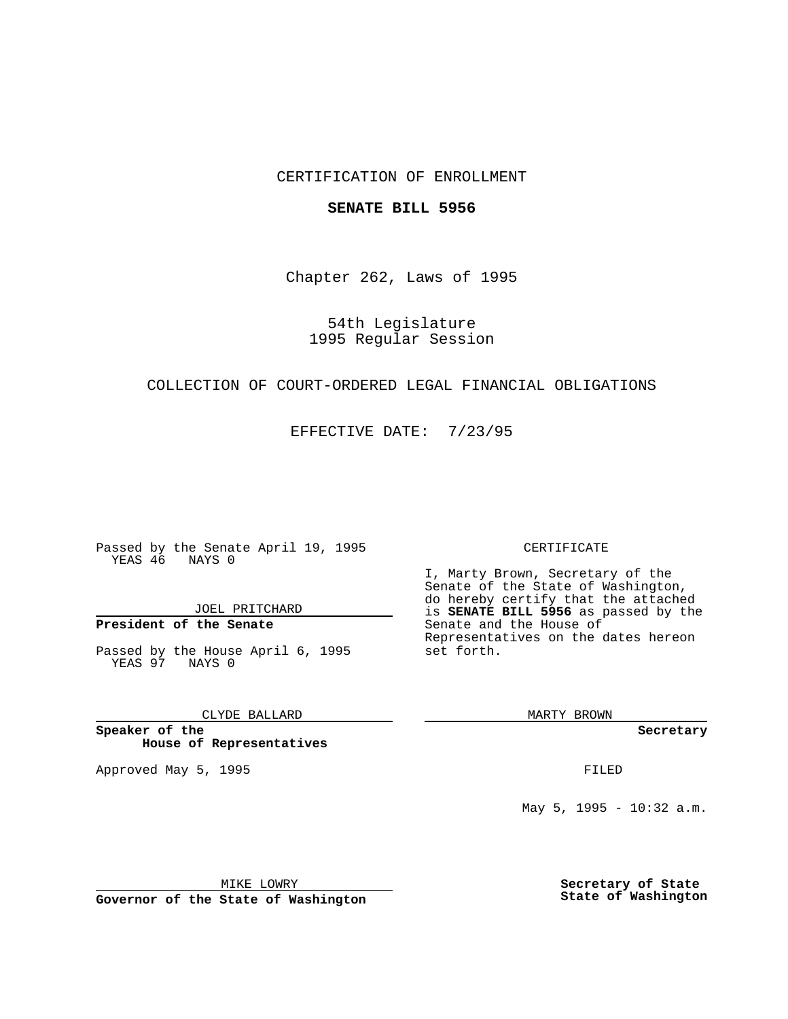## CERTIFICATION OF ENROLLMENT

### **SENATE BILL 5956**

Chapter 262, Laws of 1995

54th Legislature 1995 Regular Session

## COLLECTION OF COURT-ORDERED LEGAL FINANCIAL OBLIGATIONS

EFFECTIVE DATE: 7/23/95

Passed by the Senate April 19, 1995 YEAS 46 NAYS 0

JOEL PRITCHARD

# **President of the Senate**

Passed by the House April 6, 1995 YEAS 97 NAYS 0

CLYDE BALLARD

**Speaker of the House of Representatives**

Approved May 5, 1995 **FILED** 

#### CERTIFICATE

I, Marty Brown, Secretary of the Senate of the State of Washington, do hereby certify that the attached is **SENATE BILL 5956** as passed by the Senate and the House of Representatives on the dates hereon set forth.

MARTY BROWN

**Secretary**

May 5, 1995 - 10:32 a.m.

MIKE LOWRY

**Governor of the State of Washington**

**Secretary of State State of Washington**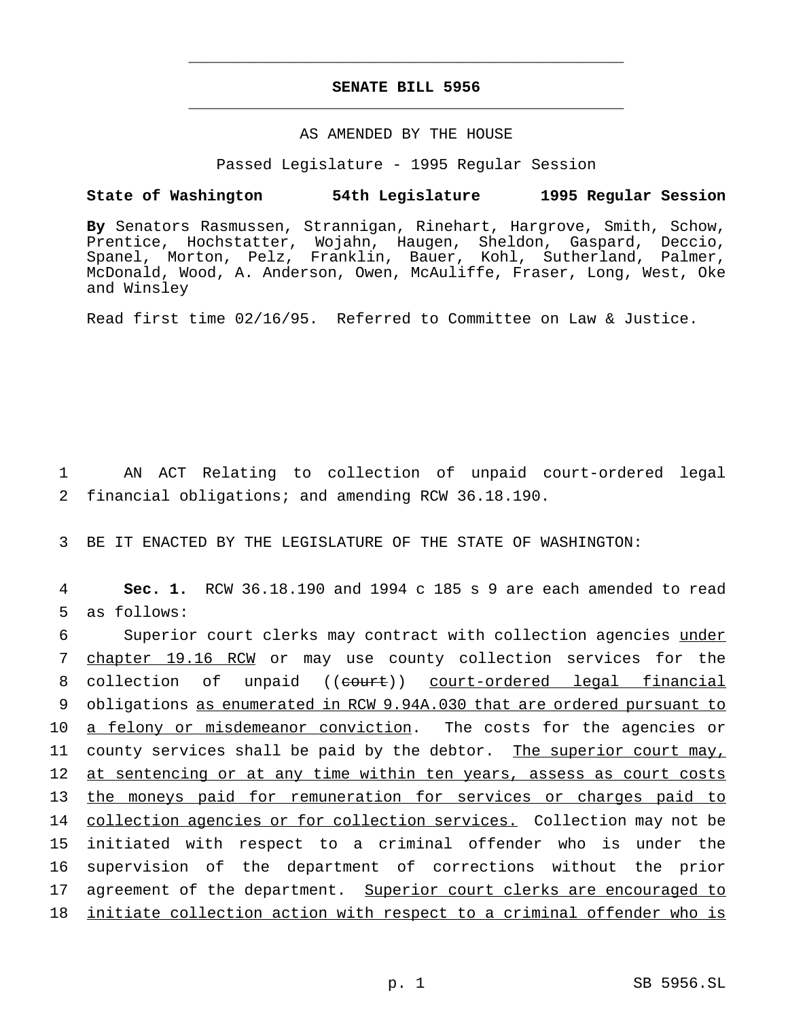## **SENATE BILL 5956** \_\_\_\_\_\_\_\_\_\_\_\_\_\_\_\_\_\_\_\_\_\_\_\_\_\_\_\_\_\_\_\_\_\_\_\_\_\_\_\_\_\_\_\_\_\_\_

\_\_\_\_\_\_\_\_\_\_\_\_\_\_\_\_\_\_\_\_\_\_\_\_\_\_\_\_\_\_\_\_\_\_\_\_\_\_\_\_\_\_\_\_\_\_\_

## AS AMENDED BY THE HOUSE

Passed Legislature - 1995 Regular Session

### **State of Washington 54th Legislature 1995 Regular Session**

**By** Senators Rasmussen, Strannigan, Rinehart, Hargrove, Smith, Schow, Prentice, Hochstatter, Wojahn, Haugen, Sheldon, Gaspard, Deccio, Spanel, Morton, Pelz, Franklin, Bauer, Kohl, Sutherland, Palmer, McDonald, Wood, A. Anderson, Owen, McAuliffe, Fraser, Long, West, Oke and Winsley

Read first time 02/16/95. Referred to Committee on Law & Justice.

1 AN ACT Relating to collection of unpaid court-ordered legal 2 financial obligations; and amending RCW 36.18.190.

3 BE IT ENACTED BY THE LEGISLATURE OF THE STATE OF WASHINGTON:

4 **Sec. 1.** RCW 36.18.190 and 1994 c 185 s 9 are each amended to read 5 as follows:

6 Superior court clerks may contract with collection agencies under 7 chapter 19.16 RCW or may use county collection services for the 8 collection of unpaid ((eourt)) court-ordered legal financial 9 obligations as enumerated in RCW 9.94A.030 that are ordered pursuant to 10 a felony or misdemeanor conviction. The costs for the agencies or 11 county services shall be paid by the debtor. The superior court may, 12 at sentencing or at any time within ten years, assess as court costs 13 the moneys paid for remuneration for services or charges paid to 14 collection agencies or for collection services. Collection may not be 15 initiated with respect to a criminal offender who is under the 16 supervision of the department of corrections without the prior 17 agreement of the department. Superior court clerks are encouraged to 18 initiate collection action with respect to a criminal offender who is